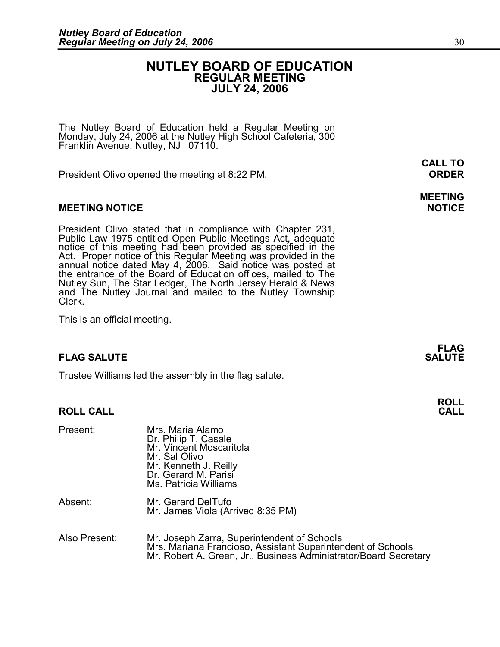## **NUTLEY BOARD OF EDUCATION REGULAR MEETING JULY 24, 2006**

The Nutley Board of Education held a Regular Meeting on Monday, July 24, 2006 at the Nutley High School Cafeteria, 300 Franklin Avenue, Nutley, NJ 07110.

President Olivo opened the meeting at 8:22 PM. **ORDER** 

## **MEETING NOTICE NOTICE**

**MEETING NOTICE**<br>President Olivo stated that in compliance with Chapter 231,<br>Public Law 1975 entitled Open Public Meetings Act, adequate<br>notice of this meeting had been provided as specified in the<br>Act. Proper notice of th notice or this meeting had been provided as specified in the<br>Act. Proper notice of this Regular Meeting was provided in the<br>annual notice dated May 4, 2006. Said notice was posted at<br>the entrance of the Board of Education Nutley Sun, The Star Ledger, The North Jersey Herald & News and The Nutley Journal and mailed to the Nutley Township Clerk.

This is an official meeting.

## **FLAG SALUTE**

Trustee Williams led the assembly in the flag salute.

#### **ROLL CALL CALL**

| <b>ROLL CALL</b> |                                                                                                                                                                                |
|------------------|--------------------------------------------------------------------------------------------------------------------------------------------------------------------------------|
| Present:         | Mrs. Maria Alamo<br>Dr. Philip T. Casale<br>Mr. Vincent Moscaritola<br>Mr. Sal Olivo<br>Mr. Kenneth J. Reilly<br>Dr. Gerard M. Parisi<br>Ms. Patricia Williams                 |
| Absent:          | Mr. Gerard DelTufo<br>Mr. James Viola (Arrived 8:35 PM)                                                                                                                        |
| Also Present:    | Mr. Joseph Zarra, Superintendent of Schools<br>Mrs. Mariana Francioso, Assistant Superintendent of Schools<br>Mr. Robert A. Green, Jr., Business Administrator/Board Secretary |

**MEETING** 

**CALL TO**

**FLAG** 

**ROLL**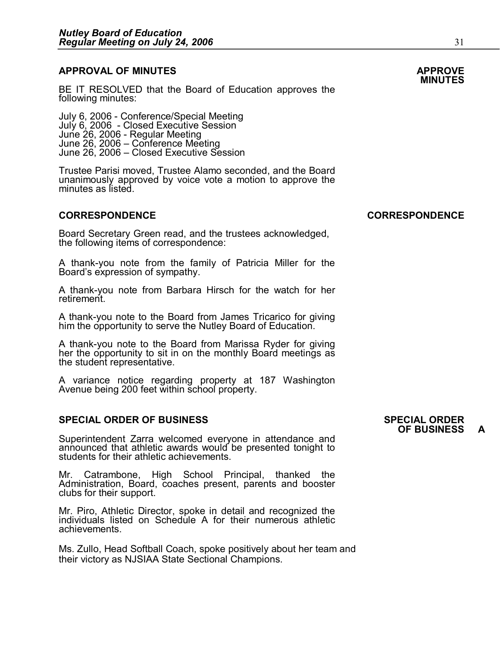#### **APPROVAL OF MINUTES APPROVE**

BE IT RESOLVED that the Board of Education approves the following minutes:

July 6, 2006 - Conference/Special Meeting<br> July 6, 2006 - Closed Executive Session<br> June 26, 2006 - Regular Meeting<br> June 26, 2006 – Closed Executive Session<br> June 26, 2006 – Closed Executive Session

Trustee Parisi moved, Trustee Alamo seconded, and the Board June 26, 2006 – Closed Executive Session<br>Trustee Parisi moved, Trustee Alamo seconded, and the Board<br>unanimously approved by voice vote a motion to approve the<br>minutes as listed.

Board Secretary Green read, and the trustees acknowledged, the following items of correspondence:

A thankyou note from the family of Patricia Miller for the Board's expression of sympathy.

A thank-you note from Barbara Hirsch for the watch for her retirement.

A thankyou note to the Board from James Tricarico for giving him the opportunity to serve the Nutley Board of Education.

A thankyou note to the Board from Marissa Ryder for giving her the opportunity to sit in on the monthly Board meetings as the student representative.

A variance notice regarding property at 187 Washington Avenue being 200 feet within school property.

# **SPECIAL ORDER OF BUSINESS SPECIAL ORDER**

Superintendent Zarra welcomed everyone in attendance and announced that athletic awards would be presented tonight to students for their athletic achievements.

Mr. Catrambone, High School Principal, thanked the Administration, Board, coaches present, parents and booster clubs for their support.

Administration, Board, coaches present, parents and booster<br>clubs for their support.<br>Mr. Piro, Athletic Director, spoke in detail and recognized the<br>individuals listed on Schedule A for their numerous athletic clubs for their support.<br>Mr. Piro, Athletic Director, spoke in detail and recognized the<br>individuals listed on Schedule A for their numerous athletic<br>achievements. achievements.

Ms. Zullo, Head Softball Coach, spoke positively about her team and their victory as NJSIAA State Sectional Champions.

# **SPECIAL ORDER**<br>OF BUSINESS **A**

## **CORRESPONDENCE CORRESPONDENCE**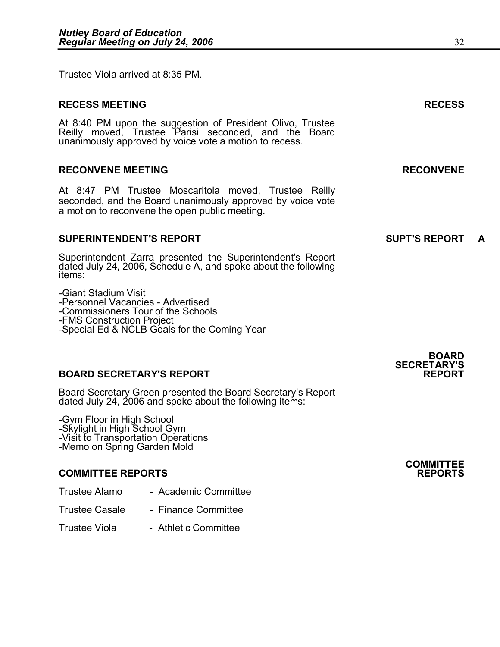Trustee Viola arrived at 8:35 PM.

# **RECESS MEETING RECESS** At 8:40 PM upon the suggestion of President Olivo, Trustee Reilly moved, Trustee Parisi seconded, and the Board unanimously approved by voice vote a motion to recess. **RECONVENE MEETING RECONVENE** At 8:47 PM Trustee Moscaritola moved, Trustee Reilly seconded, and the Board unanimously approved by voice vote a motion to reconvene the open public meeting. **SUPERINTENDENT'S REPORT**<br> **SUPERINTENDENT'S REPORT**

Superintendent Zarra presented the Superintendent's Report dated July 24, 2006, Schedule A, and spoke about the following items:

Giant Stadium Visit -Personnel Vacancies - Advertised -Commissioners Tour of the Schools<br>-FMS Construction Project -Special Ed & NCLB Goals for the Coming Year

## **BOARD SECRETARY'S REPORT REPORT**

Board Secretary Green presented the Board Secretary's Report dated July 24, 2006 and spoke about the following items:

-Gym Floor in High School<br>-Skylight in High School Gym<br>-Visit to Transportation Operations<br>-Memo on Spring Garden Mold

- **COMMITTEE REPORTS REPORTS** Trustee Alamo Academic Committee Trustee Casale Finance Committee
- Trustee Casale <sup>1</sup> Finance Committee<br>Trustee Viola <sup>1</sup> Athletic Committee
- 

**SECRETARY'S** 

**BOARD** 

**COMMITTEE**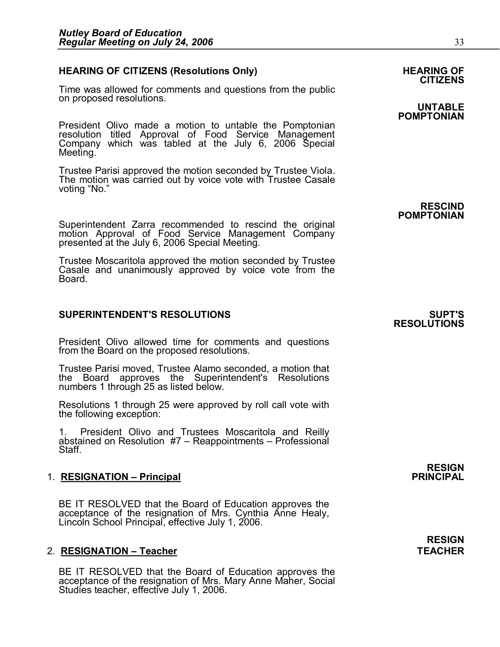## **HEARING OF CITIZENS (Resolutions Only) HEARING OF HEARING OF**

Time was allowed for comments and questions from the public on proposed resolutions. **UNTABLE** 

President Olivo made a motion to untable the Pomptonian resolution titled Approval of Food Service Management Company which was tabled at the July 6, 2006 Special Meeting.

Trustee Parisi approved the motion seconded by Trustee Viola. The motion was carried out by voice vote with Trustee Casale voting "No."

Superintendent Zarra recommended to rescind the original motion Approval of Food Service Management Company presented at the July 6, 2006 Special Meeting.

Trustee Moscaritola approved the motion seconded by Trustee Casale and unanimously approved by voice vote from the Board.

#### **SUPERINTENDENT'S RESOLUTIONS SUPT'S**

President Olivo allowed time for comments and questions from the Board on the proposed resolutions.

Trustee Parisi moved, Trustee Alamo seconded, a motion that from the Board on the proposed resolutions.<br>Trustee Parisi moved, Trustee Alamo seconded, a motion that<br>the Board approves the Superintendent's Resolutions<br>numbers 1 through 25 as listed below.

Resolutions 1 through 25 were approved by roll call vote with the following exception:

1. President Olivo and Trustees Moscaritola and Reilly abstained on Resolution #7 – Reappointments – Professional Staff. 1. **RESIGNATION – Principal PRINCIPAL**

BE IT RESOLVED that the Board of Education approves the acceptance of the resignation of Mrs. Cynthia Anne Healy, Lincoln School Principal, effective July 1, 2006. 2. **RESIGNATION – Teacher TEACHER**

2. **RESIGNATION – Teacher**<br>BE IT RESOLVED that the Board of Education approves the<br>acceptance of the resignation of Mrs. Mary Anne Maher, Social<br>Studies teacher, effective July 1, 2006.

**POMPTONIAN**

**RESCIND POMPTONIAN**

# **RESOLUTIONS**

**RESIGN<br>PRINCIPAL** 

# **RESIGN**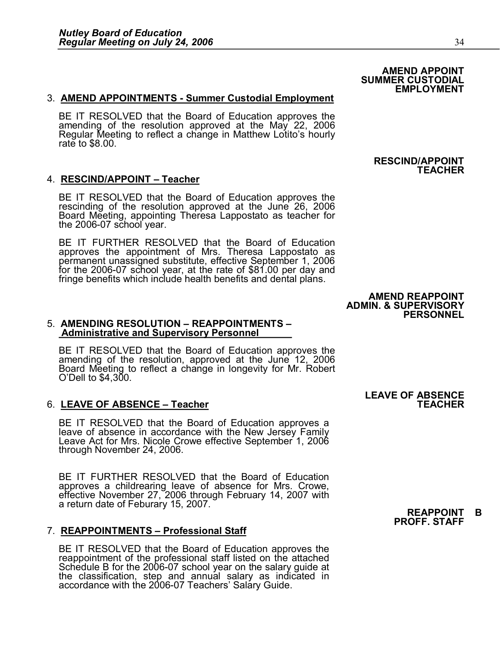#### 3. **AMEND APPOINTMENTS Summer Custodial Employment**

BE IT RESOLVED that the Board of Education approves the amending of the resolution approved at the May 22, 2006 Regular Meeting to reflect a change in Matthew Lotito's hourly rate to \$8.00.

#### 4. **RESCIND/APPOINT – Teacher**

BE IT RESOLVED that the Board of Education approves the rescinding of the resolution approved at the June 26, 2006 Board Meeting, appointing Theresa Lappostato as teacher for the  $2006-07$  school year.

BE IT FURTHER RESOLVED that the Board of Education approves the appointment of Mrs. Theresa Lappostato as me 2006-07 scriool year.<br>BE IT FURTHER RESOLVED that the Board of Education<br>approves the appointment of Mrs. Theresa Lappostato as<br>permanent unassigned substitute, effective September 1, 2006 BE IT FURTHER RESOLVED that the Board of Education<br>approves the appointment of Mrs. Theresa Lappostato as<br>permanent unassigned substitute, effective September 1, 2006<br>for the 2006-07 school year, at the rate of \$81.00 per fringe benefits which include health benefits and dental plans.

#### 5. **AMENDING RESOLUTION – REAPPOINTMENTS – Administrative and Supervisory Personnel**

BE IT RESOLVED that the Board of Education approves the amending of the resolution, approved at the June 12, 2006 Board Meeting to reflect a change in longevity for Mr. Robert O'Dell to \$4,300

LEAVE OF ABSENCE – Teacher<br>BE IT RESOLVED that the Board of Education approves a<br>leave of absence in accordance with the New Jersey Family LEAVE OF ABSENCE – Teacher<br>
BE IT RESOLVED that the Board of Education approves a<br>
leave of absence in accordance with the New Jersey Family<br>
Leave Act for Mrs. Nicole Crowe effective September 1, 2006 through November 24, 2006.

through November 24, 2006.<br>BE IT FURTHER RESOLVED that the Board of Education<br>approves a childrearing leave of absence for Mrs. Crowe. approves a childrearing leave of absence for Mrs. Crowe, effective November 27, 2006 through February 14, 2007 with a return date of Feburary 15, 2007. **REAPPOINT B**  7. **REAPPOINTMENTS – Professional Staff**

BE IT RESOLVED that the Board of Education approves the<br> reappointment of the professional staff listed on the attached<br> Schedule B for the 2006-07 school year on the salary guide at the classification, step and annual salary as indicated in accordance with the 2006-07 Teachers' Salary Guide.

#### **AMEND APPOINT SUMMER CUSTODIAL EMPLOYMENT**

#### **RESCIND/APPOINT TEACHER**

#### **AMEND REAPPOINT ADMIN. & SUPERVISORY PERSONNEL**

# **LEAVE OF ABSENCE** 6. **LEAVE OF ABSENCE – Teacher TEACHER**

# **PROFF. STAFF**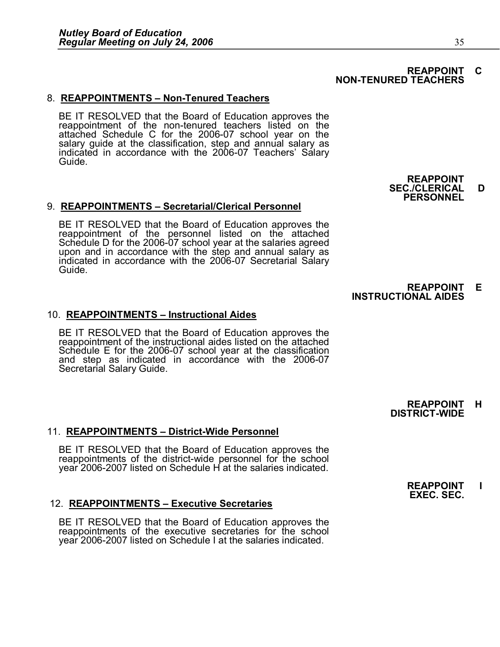#### **REAPPOINT C NON-TENURED TEACHERS**

#### 8. REAPPOINTMENTS - Non-Tenured Teachers

BE IT RESOLVED that the Board of Education approves the reappointment of the non-tenured teachers listed on the attached Schedule C for the 2006-07 school year on the salary guide at the classification, step and annual salary as indicated in accordance with the 2006-07 Teachers' Salary Guide.

#### 9. **REAPPOINTMENTS – Secretarial/Clerical Personnel**

**REAPPOINTMENTS – Secretarial/Ciencal Personnel**<br>BE IT RESOLVED that the Board of Education approves the<br>reappointment of the personnel listed on the attached<br>Schedule D for the 2006-07 school year at the salaries agreed<br>u reappointment or the personnel listed on the attached<br>Schedule D for the 2006-07 school year at the salaries agreed<br>upon and in accordance with the step and annual salary as<br>indicated in accordance with the 2006-07 Secreta

**REAPPOINT SEC./CLERICAL D PERSONNEL**

# **REAPPOINT E INSTRUCTIONAL AIDES**

#### 10. **REAPPOINTMENTS – Instructional Aides**

BE IT RESOLVED that the Board of Education approves the reappointment of the instructional aides listed on the attached Schedule E for the 2006-07 school year at the classification and step as indicated in accordance with

**REAPPOINT H DISTRICT-WIDE** 

#### **11. REAPPOINTMENTS - District-Wide Personnel**

BE IT RESOLVED that the Board of Education approves the reappointments of the district-wide personnel for the school year 2006-2007 listed on Schedule H at the salaries indicated.

#### 12. **REAPPOINTMENTS – Executive Secretaries**

BE IT RESOLVED that the Board of Education approves the reappointments of the executive secretaries for the school vear 2006-2007 listed on Schedule I at the salaries indicated.

**REAPPOINT I EXEC. SEC.**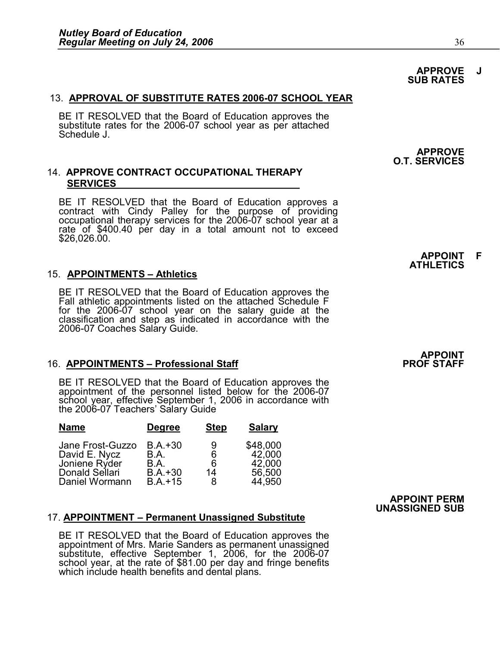#### 13. **APPROVAL OF SUBSTITUTE RATES 2006-07 SCHOOL YEAR**

BE IT RESOLVED that the Board of Education approves the substitute rates for the 2006-07 school year as per attached Schedule J.

#### 14. **APPROVE CONTRACT OCCUPATIONAL THERAPY SERVICES**

BE IT RESOLVED that the Board of Education approves a contract with Cindy Palley for the purpose of providing occupational therapy services for the 2006-07 school year at a rate of \$400.40 per day in a total amount not to

#### 15. **APPOINTMENTS – Athletics**

BE IT RESOLVED that the Board of Education approves the Fall athletic appointments listed on the attached Schedule F for the 2006-07 school year on the salary guide at the classification and step as indicated in accordance with the 2006-07 Coaches Salary Guide.

# 16. **APPOINTMENTS – Professional Staff PROF STAFF**

BE IT RESOLVED that the Board of Education approves the<br>
appointment of the personnel listed below for the 2006-07<br>
school year, effective September 1, 2006 in accordance with<br>
the 2006-07 Teachers' Salary Guide

| <b>Name</b>      | <b>Degree</b> | <b>Step</b> | <b>Salary</b> |
|------------------|---------------|-------------|---------------|
| Jane Frost-Guzzo | $B.A.+30$     | 9           | \$48,000      |
| David E. Nycz    | B.A.          | 6           | 42,000        |
| Joniene Ryder    | B.A.          | 6           | 42,000        |
| Donald Sellari   | $B.A.+30$     | 14          | 56,500        |
| Daniel Wormann   | $B.A.+15$     | 8           | 44.950        |

#### 17. **APPOINTMENT – Permanent Unassigned Substitute**

BE IT RESOLVED that the Board of Education approves the<br>appointment of Mrs. Marie Sanders as permanent unassigned<br>substitute, effective September 1, 2006, for the 2006-07<br>school year, at the rate of \$81.00 per day and frin

#### **APPROVE J SUB RATES**

**APPROVE O.T. SERVICES**

> **APPOINT F ATHLETICS**

**APPOINT**<br>PROF STAFF

**APPOINT PERM UNASSIGNED SUB**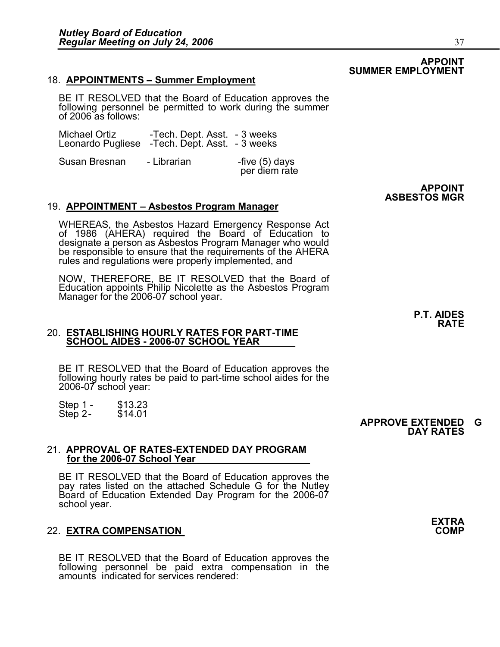#### 18. **APPOINTMENTS – Summer Employment**

BE IT RESOLVED that the Board of Education approves the Following MENTS - Summer Employment<br>Following personnel be permitted to work during the summer<br>following personnel be permitted to work during the summer

|               | following personnel be permitted to work during the sumr<br>of 2006 as follows:                |                                 |
|---------------|------------------------------------------------------------------------------------------------|---------------------------------|
|               | Michael Ortiz -- Tech. Dept. Asst. - 3 weeks<br>Leonardo Pugliese -Tech. Dept. Asst. - 3 weeks |                                 |
| Susan Bresnan | - Librarian                                                                                    | -five (5) days<br>per diem rate |

#### 19. **APPOINTMENT – Asbestos Program Manager**

WHEREAS, the Asbestos Hazard Emergency Response Act<br>of 1986 (AHERA) required the Board of Education to<br>designate a person as Asbestos Program Manager who would<br>be responsible to ensure that the requirements of the AHERA<br>ru

NOW, THEREFORE, BE IT RESOLVED that the Board of Education appoints Philip Nicolette as the Asbestos Program Manager for the 2006-07 school year.

#### 20. **ESTABLISHING HOURLY RATES FOR PARTTIME SCHOOL AIDES - 2006-07 SCHOOL YEAR**

BE IT RESOLVED that the Board of Education approves the following hourly rates be paid to part-time school aides for the 2006-07 school year: rollowing nourly rates be paid to part-time school aldes for the<br>2006-07 school year:<br>Step 1 - \$13.23 Step 2- \$14.01 APPROVE EXTENDED G

21. **APPROVAL OF RATESEXTENDED DAY PROGRAM**  for the 2006-07 School Year

BE IT RESOLVED that the Board of Education approves the pay rates listed on the attached Schedule G for the Nutley Board of Education Extended Day Program for the 2006-07 school year. school year.<br>22. **EXTRA COMPENSATION**<br>22. **EXTRA COMPENSATION** 

BE IT RESOLVED that the Board of Education approves the following personnel be paid extra compensation in the amounts indicated for services rendered: **DAY RATES**



**APPOINT** 

**ASBESTOS MGR**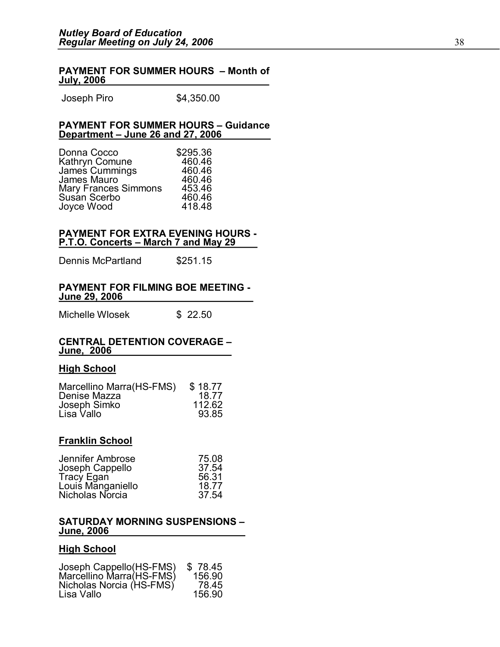#### **PAYMENT FOR SUMMER HOURS – Month of July, 2006**

Joseph Piro \$4,350.00

# **PAYMENT FOR SUMMER HOURS – Guidance**

|                                                                                                                                                                                              | Department - June 26 and 27, 2006 |  |  |  |
|----------------------------------------------------------------------------------------------------------------------------------------------------------------------------------------------|-----------------------------------|--|--|--|
| \$295.36<br>Donna Cocco<br>460.46<br>Kathryn Comune<br>James Cummings<br>460.46<br>James Mauro<br>460.46<br>453.46<br>Mary Frances Simmons<br>Susan Scerbo<br>460.46<br>Joyce Wood<br>418.48 |                                   |  |  |  |

# **PAYMENT FOR EXTRA EVENING HOURS PAYMENT FOR EXTRA EVENING HOURS<br>
<u>P.T.O. Concerts – March 7 and May 29</u><br>
Dennis McPartland \$251.15**

# **PAYMENT FOR FILMING BOE MEETING**  Michelle Wlosek \$ 22.50 **June 29, 2006**

#### **CENTRAL DETENTION COVERAGE – June, 2006**

## **High School**

| Marcellino Marra(HS-FMS) | \$18.77 |
|--------------------------|---------|
| Denise Mazza             | 18.77   |
| Joseph Simko             | 112.62  |
| Lisa Vallo               | 93.85   |

#### **Franklin School**

| Jennifer Ambrose  | 75.08 |
|-------------------|-------|
| Joseph Cappello   | 37.54 |
| Tracy Egan        | 56.31 |
| Louis Manganiello | 18.77 |
| Nicholas Norcia   | 37.54 |

#### **SATURDAY MORNING SUSPENSIONS – June, 2006**

## **High School**

| <b>HIGH SCHOOL</b>                                                                            |                                      |
|-----------------------------------------------------------------------------------------------|--------------------------------------|
| Joseph Cappello(HS-FMS)<br>Marcellino Marra(HS-FMS)<br>Nicholas Norcia (HS-FMS)<br>Lisa Vallo | \$78.45<br>156.90<br>78.45<br>156.90 |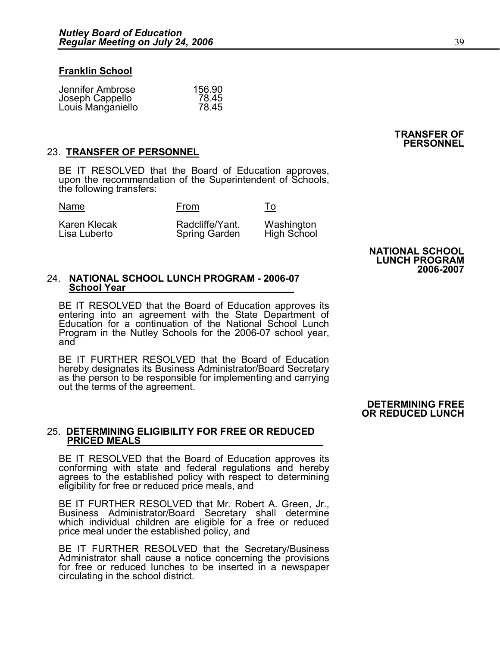#### **Franklin School**

| Jennifer Ambrose  | 156.90 |
|-------------------|--------|
| Joseph Cappello   | 78.45  |
| Louis Manganiello | 78.45  |

#### 23. **TRANSFER OF PERSONNEL**

BE IT RESOLVED that the Board of Education approves, upon the recommendation of the Superintendent of Schools, the following transfers:

| Name                         | From                                    | To                        |
|------------------------------|-----------------------------------------|---------------------------|
| Karen Klecak<br>Lisa Luberto | Radcliffe/Yant.<br><b>Spring Garden</b> | Washington<br>High School |

**NATIONAL SCHOOL LUNCH PROGRAM 20062007**

**TRANSFER OF PERSONNEL**

#### 24. NATIONAL SCHOOL LUNCH PROGRAM - 2006-07 **School Year**

BE IT RESOLVED that the Board of Education approves its<br>
BE IT RESOLVED that the Board of Education approves its<br>
entering into an agreement with the State Department of<br>
Education for a continuation of the National School BE IT RESOLVED that the Board of Education approves its<br>entering into an agreement with the State Department of<br>Education for a continuation of the National School Lunch<br>Program in the Nutley Schools for the 2006-07 school Program in the Nutley Schools for the 2006-07 school year,<br>and<br>BE IT FURTHER RESOLVED that the Board of Education<br>hereby designates its Business Administrator/Board Secretary

as the person to be responsible for implementing and carrying out the terms of the agreement.

#### **DETERMINING FREE OR REDUCED LUNCH**

#### 25. **DETERMINING ELIGIBILITY FOR FREE OR REDUCED PRICED MEALS**

BE IT RESOLVED that the Board of Education approves its conforming with state and federal regulations and hereby agrees to the established policy with respect to determining eligibility for free or reduced price meals, and

agrees to the established policy with respect to determining<br>eligibility for free or reduced price meals, and<br>BE IT FURTHER RESOLVED that Mr. Robert A. Green, Jr.,<br>Business Administrator/Board Secretary shall determine engibility for free or reduced price meals, and<br>BE IT FURTHER RESOLVED that Mr. Robert A. Green, Jr.,<br>Business Administrator/Board Secretary shall determine<br>which individual children are eligible for a free or reduced<br>pric

which individual children are eigible for a free or reduced<br>price meal under the established policy, and<br>BE IT FURTHER RESOLVED that the Secretary/Business<br>Administrator shall cause a notice concerning the provisions<br>for f BE IT FURTHER RESOLVED that the Secretary/Business<br>Administrator shall cause a notice concerning the provisions<br>for free or reduced lunches to be inserted in a newspaper<br>circulating in the school district.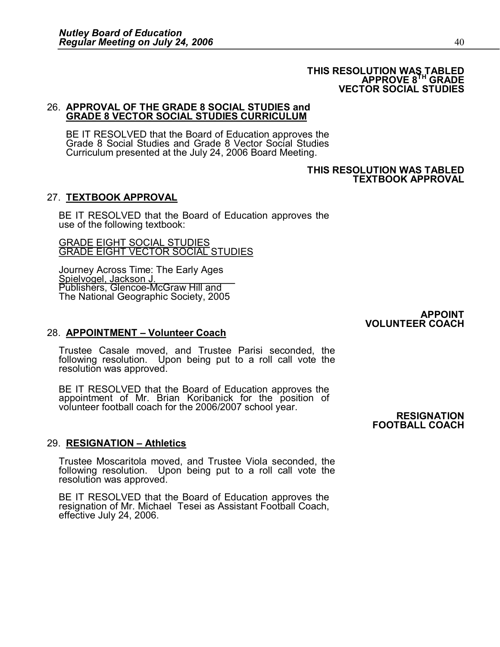#### **THIS RESOLUTION WAS TABLED APPROVE 8 TH GRADE VECTOR SOCIAL STUDIES**

#### 26. **APPROVAL OF THE GRADE 8 SOCIAL STUDIES and GRADE 8 VECTOR SOCIAL STUDIES CURRICULUM**

BE IT RESOLVED that the Board of Education approves the Grade 8 Social Studies and Grade 8 Vector Social Studies Curriculum presented at the July 24, 2006 Board Meeting.

#### **THIS RESOLUTION WAS TABLED TEXTBOOK APPROVAL**

## 27. **TEXTBOOK APPROVAL**

BE IT RESOLVED that the Board of Education approves the use of the following textbook:

GRADE EIGHT SOCIAL STUDIES GRADE EIGHT VECTOR SOCIAL STUDIES

Journey Across Time: The Early Ages<br>
Spielvogel, Jackson J.<br>
Publishers, Glencoe-McGraw Hill and The National Geographic Society, 2005

> **APPOINT VOLUNTEER COACH**

## 28. **APPOINTMENT – Volunteer Coach**

. APPOINTMENT – Volunteer Coach<br>Trustee Casale moved, and Trustee Parisi seconded, the<br>following resolution. Upon being put to a roll call vote the . **APPOINTMENT – volunteer Coacn**<br>Trustee Casale moved, and Trustee Parisi seconded, the<br>following resolution. Upon being put to a roll call vote the<br>resolution was approved.

resolution was approved.<br>BE IT RESOLVED that the Board of Education approves the<br> appointment of Mr. Brian Koribanick for the position of<br>
volunteer football coach for the 2006/2007 school year.<br> **RESIGNATION** 

**FOOTBALL COACH**

## 29. **RESIGNATION – Athletics**

. **RESIGNATION – Athletics**<br>Trustee Moscaritola moved, and Trustee Viola seconded, the<br>following resolution. Upon being put to a roll call vote the . RESIGNATION – Athletics<br>Trustee Moscaritola moved, and Trustee Viola seconded, the<br>following resolution. Upon being put to a roll call vote the<br>resolution was approved.

BE IT RESOLVED that the Board of Education approves the resignation of Mr. Michael Tesei as Assistant Football Coach, effective July 24, 2006.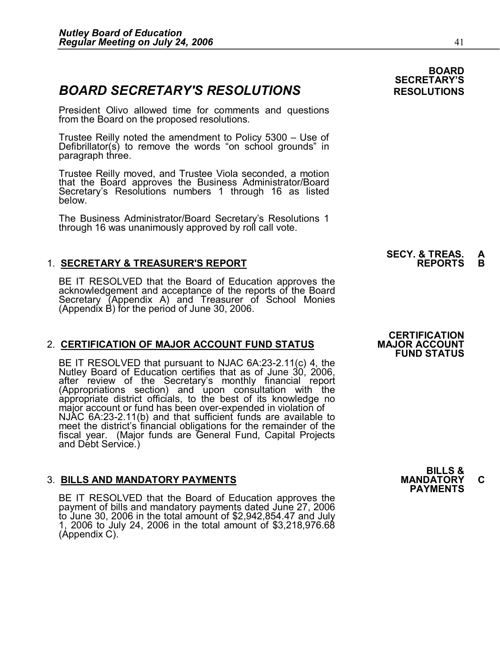**BOARD SECRETARY'S RESOLUTIONS**<br>
President Olivo allowed time for comments and questions<br>
From the Board on the proposed resolutions. from the Board on the proposed resolutions.

Trustee Reilly noted the amendment to Policy 5300 – Use of Defibrillator(s) to remove the words "on school grounds" in paragraph three.

Trustee Reilly moved, and Trustee Viola seconded, a motion that the Board approves the Business Administrator/Board Secretary's Resolutions numbers 1 through 16 as listed below.

The Business Administrator/Board Secretary's Resolutions 1 through 16 was unanimously approved by roll call vote.

# 1. **SECRETARY & TREASURER'S REPORT REPORTS B**

1. **SECRETARY & TREASURER'S REPORT**<br>BE IT RESOLVED that the Board of Education approves the<br>acknowledgement and acceptance of the reports of the Board<br>Secretary (Appendix A) and Treasurer of School Monies<br>(Appendix B) for

## **2. CERTIFICATION OF MAJOR ACCOUNT FUND STATUS**

BE IT RESOLVED that pursuant to NJAC 6A:23-2.11(c) 4, the<br>Nutley Board of Education certifies that as of June 30, 2006,<br>after review of the Secretary's monthly financial report<br>(Appropriations section) and upon consultatio fiscal year. (Major funds are General Fund, Capital Projects and Debt Service.)

# external and the set of the set of the set of the set of the set of the set of the set of the set of the set of<br>BILLS AND MANDATORY PAYMENTS **MANDATORY C**<br>PAYMENTS

BILLS AND MANDATORY PAYMENTS<br>BE IT RESOLVED that the Board of Education approves the<br>payment of bills and mandatory payments dated June 27, 2006 BE IT RESOLVED that the Board of Education approves the<br>payment of bills and mandatory payments dated June 27, 2006<br>to June 30, 2006 in the total amount of \$2,942,854.47 and July<br>1, 2006 to July 24, 2006 in the total amoun

## **CERTIFICATION FUND STATUS**

## **BOARD SECRETARY'S**

**SECY. & TREAS. A**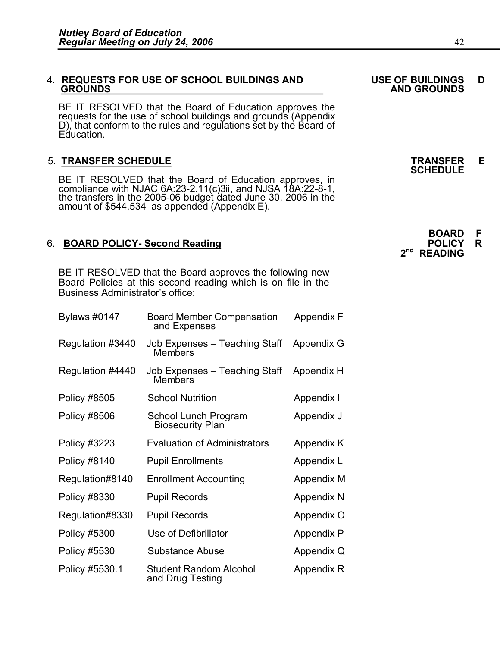# 4. **REQUESTS FOR USE OF SCHOOL BUILDINGS AND USE OF BUILDINGS D**

BE IT RESOLVED that the Board of Education approves the requests for the use of school buildings and grounds (Appendix D), that conform to the rules and regulations set by the Board of Education. Equication.<br>5. **TRANSFER SCHEDULE**<br>**5. TRANSFER SCHEDULE** SCHEDULE

5. TRANSFER SCHEDULE<br>BE IT RESOLVED that the Board of Education approves, in<br>compliance with NJAC 6A:23-2.11(c)3ii, and NJSA 18A:22-8-1, the transfers in the 2005-06 budget dated June 30, 2006 in the amount of \$544,534 as appended (Appendix E).

BE IT RESOLVED that the Board approves the following new Board Policies at this second reading which is on file in the Business Administrator's office:

| <b>Bylaws #0147</b> | <b>Board Member Compensation</b><br>and Expenses  | <b>Appendix F</b> |
|---------------------|---------------------------------------------------|-------------------|
| Regulation #3440    | Job Expenses – Teaching Staff<br>Members          | Appendix G        |
| Regulation #4440    | Job Expenses - Teaching Staff<br>Members          | Appendix H        |
| <b>Policy #8505</b> | <b>School Nutrition</b>                           | Appendix I        |
| Policy #8506        | School Lunch Program<br><b>Biosecurity Plan</b>   | Appendix J        |
| Policy #3223        | <b>Evaluation of Administrators</b>               | Appendix K        |
| <b>Policy #8140</b> | <b>Pupil Enrollments</b>                          | Appendix L        |
| Regulation#8140     | <b>Enrollment Accounting</b>                      | Appendix M        |
| <b>Policy #8330</b> | <b>Pupil Records</b>                              | Appendix N        |
| Regulation#8330     | <b>Pupil Records</b>                              | Appendix O        |
| <b>Policy #5300</b> | Use of Defibrillator                              | <b>Appendix P</b> |
| Policy #5530        | Substance Abuse                                   | Appendix Q        |
| Policy #5530.1      | <b>Student Random Alcohol</b><br>and Drug Testing | Appendix R        |

**GROUNDS AND GROUNDS**

**SCHEDULE**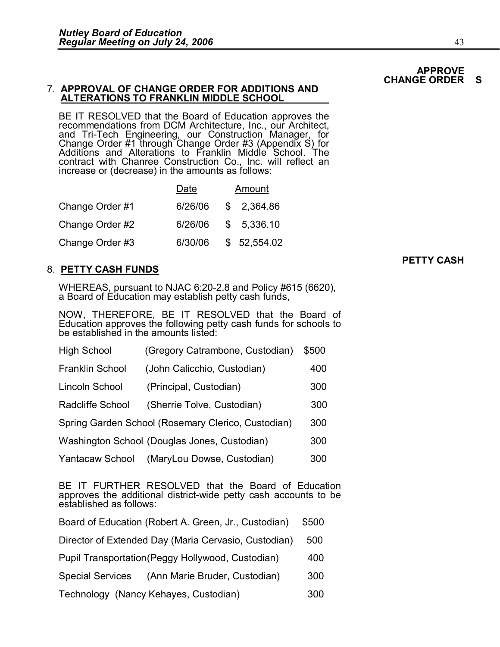#### 7. **APPROVAL OF CHANGE ORDER FOR ADDITIONS AND ALTERATIONS TO FRANKLIN MIDDLE SCHOOL**

BE IT RESOLVED that the Board of Education approves the<br>recommendations from DCM Architecture, Inc., our Architect,<br>and Tri-Tech Engineering, our Construction Manager, for<br>Change Order #1 through Change Order #3 (Appendix and Tri-Tecn Engineering, our Construction Manager, for<br>Change Order #1 through Change Order #3 (Appendix S) for<br>Additions and Alterations to Franklin Middle School. The<br>contract with Chanree Construction Co., Inc. will re increase or (decrease) in the amounts as follows:

|                 | Date    | Amount      |
|-----------------|---------|-------------|
| Change Order #1 | 6/26/06 | \$2,364.86  |
| Change Order #2 | 6/26/06 | \$5,336.10  |
| Change Order #3 | 6/30/06 | \$52,554.02 |

## 8. **PETTY CASH FUNDS**

WHEREAS, pursuant to NJAC 6:20-2.8 and Policy #615 (6620), a Board of Education may establish petty cash funds,

NOW, THEREFORE, BE IT RESOLVED that the Board of Education approves the following petty cash funds for schools to be established in the amounts listed: High School (Gregory Catrambone, Custodian) \$500

| <b>High School</b>                                                                                                                               | (Gregory Catrambone, Custodian)                    | \$500 |  |
|--------------------------------------------------------------------------------------------------------------------------------------------------|----------------------------------------------------|-------|--|
| <b>Franklin School</b>                                                                                                                           | (John Calicchio, Custodian)                        | 400   |  |
| Lincoln School                                                                                                                                   | (Principal, Custodian)                             | 300   |  |
| Radcliffe School                                                                                                                                 | (Sherrie Tolve, Custodian)                         | 300   |  |
|                                                                                                                                                  | Spring Garden School (Rosemary Clerico, Custodian) | 300   |  |
|                                                                                                                                                  | Washington School (Douglas Jones, Custodian)       | 300   |  |
| Yantacaw School                                                                                                                                  | (MaryLou Dowse, Custodian)                         | 300   |  |
| BE IT FURTHER RESOLVED that the Board of Education<br>approves the additional district-wide petty cash accounts to be<br>established as follows: |                                                    |       |  |

| Board of Education (Robert A. Green, Jr., Custodian)     | \$500 |  |
|----------------------------------------------------------|-------|--|
| Director of Extended Day (Maria Cervasio, Custodian)     | 500   |  |
| Pupil Transportation (Peggy Hollywood, Custodian)        | 400   |  |
| (Ann Marie Bruder, Custodian)<br><b>Special Services</b> | 300   |  |
| Technology (Nancy Kehayes, Custodian)                    | 300   |  |

**APPROVE CHANGE ORDER**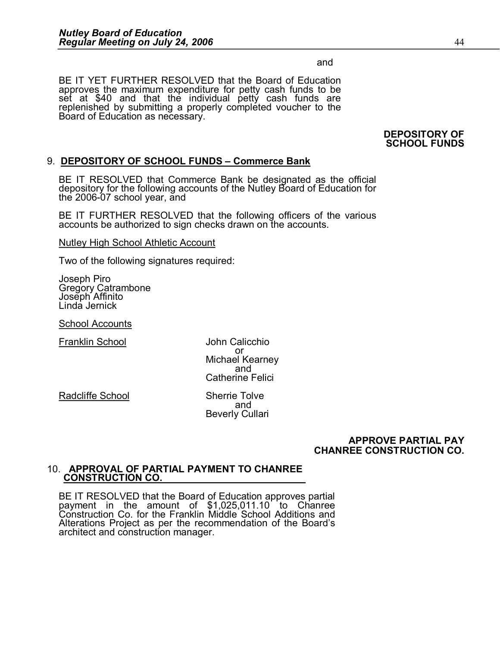and

BE IT YET FURTHER RESOLVED that the Board of Education approves the maximum expenditure for petty cash funds to be set at \$40 and that the individual petty cash funds are replenished by submitting a properly completed voucher to the Board of Education as necessary.

#### **DEPOSITORY OF SCHOOL FUNDS**

## 9. **DEPOSITORY OF SCHOOL FUNDS – Commerce Bank**

BE IT RESOLVED that Commerce Bank be designated as the official depository for the following accounts of the Nutley Board of Education for the  $2006-07$  school year, and

BE IT FURTHER RESOLVED that the following officers of the various accounts be authorized to sign checks drawn on the accounts.

Nutley High School Athletic Account

Two of the following signatures required:

Joseph Piro Gregory Catrambone Joseph Affinito Linda Jernick

School Accounts

Franklin School John Calicchio

or Michael Kearney<br>and Catherine Felici

Radcliffe School Sherrie Tolve

and Beverly Cullari

#### **APPROVE PARTIAL PAY CHANREE CONSTRUCTION CO.**

#### 10. **APPROVAL OF PARTIAL PAYMENT TO CHANREE CONSTRUCTION CO.**

**BE IT RESOLVED that the Board of Education approves partial payment** in the amount of \$1,025,011.10 to Chanree Construction Co. for the Franklin Middle School Additions and Alterations Project as per the recommendation BE IT RESOLVED that the Board of Education approves partial<br>payment in the amount of \$1,025,011.10 to Chanree<br>Construction Co. for the Franklin Middle School Additions and<br>Alterations Project as per the recommendation of t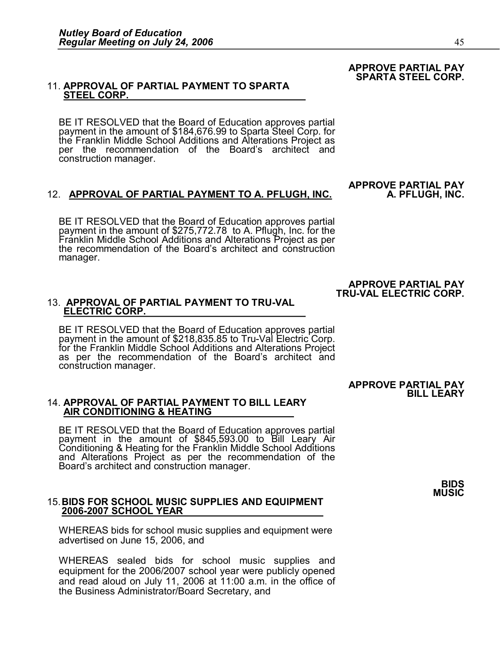#### **APPROVE PARTIAL PAY SPARTA STEEL CORP.**

#### 11. **APPROVAL OF PARTIAL PAYMENT TO SPARTA STEEL CORP.**

BE IT RESOLVED that the Board of Education approves partial<br>payment in the amount of \$184,676.99 to Sparta Steel Corp. for<br>the Franklin Middle School Additions and Alterations Project as<br>per the recommendation of the Board

#### 12. **APPROVAL OF PARTIAL PAYMENT TO A. PFLUGH, INC.**

BE IT RESOLVED that the Board of Education approves partial<br>payment in the amount of \$275,772.78 to A. Pflugh, Inc. for the<br>Franklin Middle School Additions and Alterations Project as per<br>the recommendation of the Board's manager.

**APPROVE PARTIAL PAY**

#### **APPROVE PARTIAL PAY TRU-VAL ELECTRIC CORP.**

#### 13. **APPROVAL OF PARTIAL PAYMENT TO TRU-VAL ELECTRIC CORP.**

BE IT RESOLVED that the Board of Education approves partial<br>payment in the amount of \$218,835.85 to Tru-Val Electric Corp.<br>for the Franklin Middle School Additions and Alterations Project<br>as per the recommendation of the B

#### **APPROVE PARTIAL PAY BILL LEARY**

#### 14. **APPROVAL OF PARTIAL PAYMENT TO BILL LEARY AIR CONDITIONING & HEATING**

BE IT RESOLVED that the Board of Education approves partial<br>payment in the amount of \$845,593.00 to Bill Leary Air<br>Conditioning & Heating for the Franklin Middle School Additions<br>and Alterations Project as per the recommen

#### 15.**BIDS FOR SCHOOL MUSIC SUPPLIES AND EQUIPMENT 20062007 SCHOOL YEAR**

WHEREAS bids for school music supplies and equipment were advertised on June 15, 2006, and

WHEREAS sealed bids for school masks capplies and equipment were<br>WHEREAS sealed bids for school music supplies and<br>equipment for the 2006/2007 school year were publicly opened equipment for the 2006/2007 school year were publicly opened WHEREAS sealed bids for school music supplies and<br>equipment for the 2006/2007 school year were publicly opened<br>and read aloud on July 11, 2006 at 11:00 a.m. in the office of<br>the Business Administrator/Board Secretary and the Business Administrator/Board Secretary, and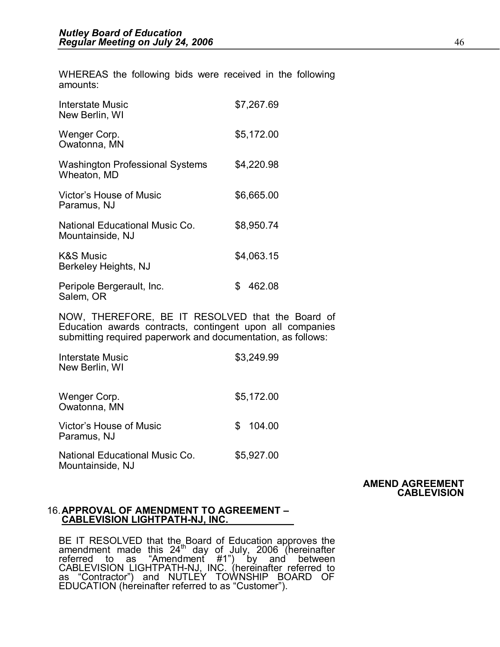WHEREAS the following bids were received in the following amounts:

| <b>Interstate Music</b><br>New Berlin, WI                                                                                                                                     | \$7,267.69   |  |
|-------------------------------------------------------------------------------------------------------------------------------------------------------------------------------|--------------|--|
| Wenger Corp.<br>Owatonna, MN                                                                                                                                                  | \$5,172.00   |  |
| <b>Washington Professional Systems</b><br>Wheaton, MD                                                                                                                         | \$4,220.98   |  |
| Victor's House of Music<br>Paramus, NJ                                                                                                                                        | \$6,665.00   |  |
| National Educational Music Co.<br>Mountainside, NJ                                                                                                                            | \$8,950.74   |  |
| <b>K&amp;S Music</b><br>Berkeley Heights, NJ                                                                                                                                  | \$4,063.15   |  |
| Peripole Bergerault, Inc.<br>Salem, OR                                                                                                                                        | \$<br>462.08 |  |
| NOW, THEREFORE, BE IT RESOLVED that the Board of<br>Education awards contracts, contingent upon all companies<br>submitting required paperwork and documentation, as follows: |              |  |
| <b>Interstate Music</b><br>New Berlin, WI                                                                                                                                     | \$3,249.99   |  |
| Wenger Corp.<br>Owatonna, MN                                                                                                                                                  | \$5,172.00   |  |
| Victor's House of Music                                                                                                                                                       | \$<br>104.00 |  |

National Educational Music Co. \$5,927.00 Mountainside, NJ

Paramus, NJ

#### **AMEND AGREEMENT CABLEVISION**

#### 16.**APPROVAL OF AMENDMENT TO AGREEMENT – CABLEVISION LIGHTPATH-NJ, INC.**

BE IT RESOLVED that the Board of Education approves the amendment made this 24<sup>th</sup> day of July, 2006 (hereinafter referred to as "Amendment #1") by and between CABLEVISION LIGHTPATH-NJ, INC. (hereinafter referred to as "Co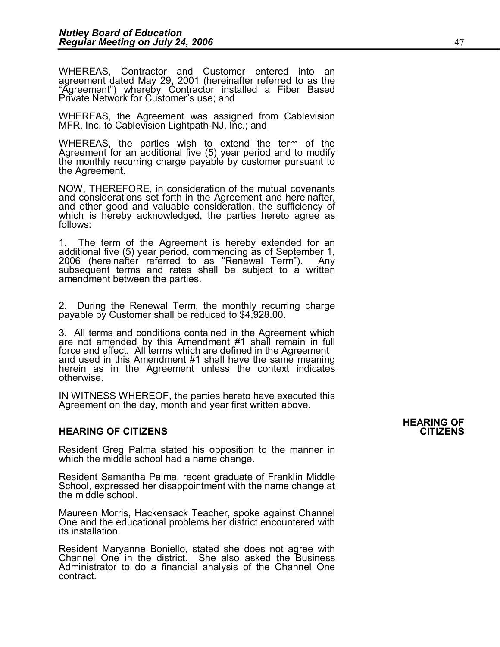Negalal Meeting on Sary 24, 2000<br>WHEREAS, Contractor and Customer entered into an<br>agreement dated May 29, 2001 (hereinafter referred to as the WHEREAS, Contractor and Customer entered into an<br>agreement dated May 29, 2001 (hereinafter referred to as the<br>"Agreement") whereby Contractor installed a Fiber Based<br>Private Network for Customer's use; and

Private Network for Customer's use; and<br>WHEREAS, the Agreement was assigned from Cablevision<br>MFR, Inc. to Cablevision Lightpath-NJ, Inc.; and

WHEREAS, the parties wish to extend the term of the Agreement for an additional five (5) year period and to modify the monthly recurring charge payable by customer pursuant to the Agreement.

NOW, THEREFORE, in consideration of the mutual covenants and considerations set forth in the Agreement and hereinafter, and other good and valuable consideration, the sufficiency of which is hereby acknowledged, the parties hereto agree as follows:

1. The term of the Agreement is hereby extended for an additional five (5) year period, commencing as of September 1, 2006 (hereinafter referred to as "Renewal Term"). Any subsequent terms and rates shall be subject to a w

2. During the Renewal Term, the monthly recurring charge payable by Customer shall be reduced to \$4,928.00.

3. All terms and conditions contained in the Agreement which are not amended by this Amendment #1 shall remain in full force and effect. All terms which are defined in the Agreement and used in this Amendment #1 shall have the same meaning herein as in the Agreement unless the context indicates otherwise.

IN WITNESS WHEREOF, the parties hereto have executed this Agreement on the day, month and year first written above.

#### **HEARING OF CITIZENS CITIZENS**

Resident Greg Palma stated his opposition to the manner in which the middle school had a name change.

Resident Greg Palma stated his opposition to the manner in<br>which the middle school had a name change.<br>Resident Samantha Palma, recent graduate of Franklin Middle<br>School, expressed her disappointment with the name change at the middle school.

Maureen Morris, Hackensack Teacher, spoke against Channel One and the educational problems her district encountered with its installation.

One and the educational problems her district encountered with<br>its installation.<br>Resident Maryanne Boniello, stated she does not agree with<br>Channel One in the district. She also asked the Business<br>Administrator to do a Resident Maryanne Boniello, stated she does not agree with<br>Channel One in the district. She also asked the Business<br>Administrator to do a financial analysis of the Channel One<br>contract. contract.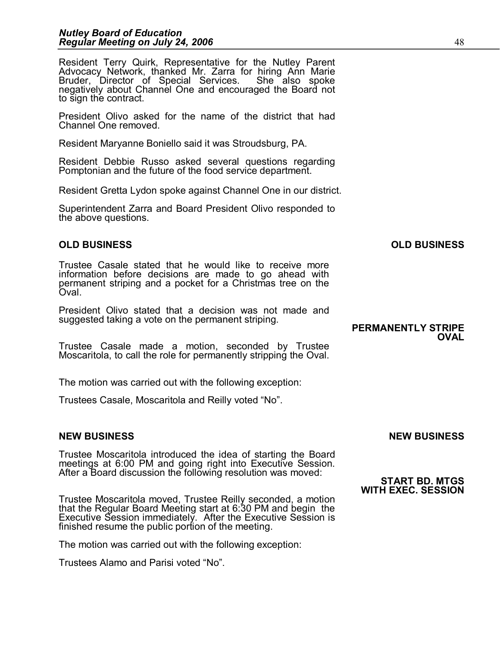Resident Terry Quirk, Representative for the Nutley Parent<br>Advocacy Network, thanked Mr. Zarra for hiring Ann Marie<br>Bruder, Director of Special Services. She also spoke<br>negatively about Channel One and encouraged the Board to sign the contract.

President Olivo asked for the name of the district that had Channel One removed.

Resident Maryanne Boniello said it was Stroudsburg, PA.

Resident Debbie Russo asked several questions regarding Pomptonian and the future of the food service department.

Resident Gretta Lydon spoke against Channel One in our district.<br>Superintendent Zarra and Board President Olivo responded to<br>the above questions. the above questions.

## **OLD BUSINESS OLD BUSINESS**

Trustee Casale stated that he would like to receive more information before decisions are made to go ahead with permanent striping and a pocket for a Christmas tree on the<br>Oval.

President Olivo stated that a decision was not made and suggested taking a vote on the permanent striping. **PERMANENTLY STRIPE** 

**OVAL**

Trustee Casale made a motion, seconded by Trustee Moscaritola, to call the role for permanently stripping the Oval.

The motion was carried out with the following exception:

Trustees Casale, Moscaritola and Reilly voted "No".

## **NEW BUSINESS NEW BUSINESS**

Trustee Moscaritola introduced the idea of starting the Board meetings at 6:00 PM and going right into Executive Session. After a Board discussion the following resolution was moved: **START BD. MTGS** 

Trustee Moscaritola moved, Trustee Reilly seconded, a motion that the Regular Board Meeting start at 6:30 PM and begin the<br>Executive Session immediately. After the Executive Session is finished resume the public portion of the meeting.

The motion was carried out with the following exception:

Trustees Alamo and Parisi voted "No".

# **WITH EXEC. SESSION**